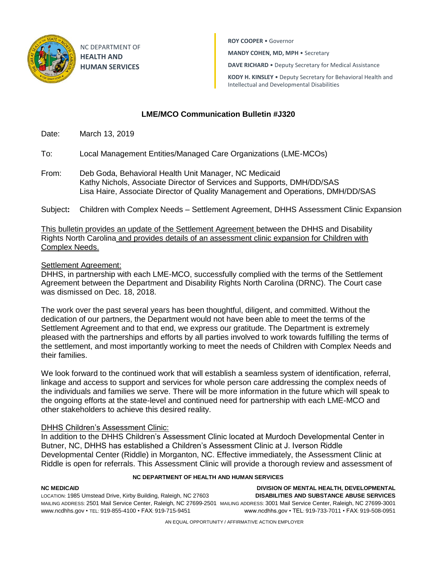

NC DEPARTMENT OF **HEALTH AND HUMAN SERVICES**

**ROY COOPER** • Governor

**MANDY COHEN, MD, MPH** • Secretary

**DAVE RICHARD** • Deputy Secretary for Medical Assistance

**KODY H. KINSLEY** • Deputy Secretary for Behavioral Health and Intellectual and Developmental Disabilities

## **LME/MCO Communication Bulletin #J320**

Date: March 13, 2019

To: Local Management Entities/Managed Care Organizations (LME-MCOs)

From: Deb Goda, Behavioral Health Unit Manager, NC Medicaid Kathy Nichols, Associate Director of Services and Supports, DMH/DD/SAS Lisa Haire, Associate Director of Quality Management and Operations, DMH/DD/SAS

Subject**:** Children with Complex Needs – Settlement Agreement, DHHS Assessment Clinic Expansion

This bulletin provides an update of the Settlement Agreement between the DHHS and Disability Rights North Carolina and provides details of an assessment clinic expansion for Children with Complex Needs.

## Settlement Agreement:

DHHS, in partnership with each LME-MCO, successfully complied with the terms of the Settlement Agreement between the Department and Disability Rights North Carolina (DRNC). The Court case was dismissed on Dec. 18, 2018.

The work over the past several years has been thoughtful, diligent, and committed. Without the dedication of our partners, the Department would not have been able to meet the terms of the Settlement Agreement and to that end, we express our gratitude. The Department is extremely pleased with the partnerships and efforts by all parties involved to work towards fulfilling the terms of the settlement, and most importantly working to meet the needs of Children with Complex Needs and their families.

We look forward to the continued work that will establish a seamless system of identification, referral, linkage and access to support and services for whole person care addressing the complex needs of the individuals and families we serve. There will be more information in the future which will speak to the ongoing efforts at the state-level and continued need for partnership with each LME-MCO and other stakeholders to achieve this desired reality.

## **DHHS Children's Assessment Clinic:**

In addition to the DHHS Children's Assessment Clinic located at Murdoch Developmental Center in Butner, NC, DHHS has established a Children's Assessment Clinic at J. Iverson Riddle Developmental Center (Riddle) in Morganton, NC. Effective immediately, the Assessment Clinic at Riddle is open for referrals. This Assessment Clinic will provide a thorough review and assessment of

## **NC DEPARTMENT OF HEALTH AND HUMAN SERVICES**

**NC MEDICAID DIVISION OF MENTAL HEALTH, DEVELOPMENTAL**  LOCATION: 1985 Umstead Drive, Kirby Building, Raleigh, NC 27603 **DISABILITIES AND SUBSTANCE ABUSE SERVICES** MAILING ADDRESS: 2501 Mail Service Center, Raleigh, NC 27699-2501 MAILING ADDRESS: 3001 Mail Service Center, Raleigh, NC 27699-3001 www.ncdhhs.gov • TEL: 919-855-4100 • FAX: 919-715-9451 www.ncdhhs.gov • TEL: 919-733-7011 • FAX: 919-508-0951